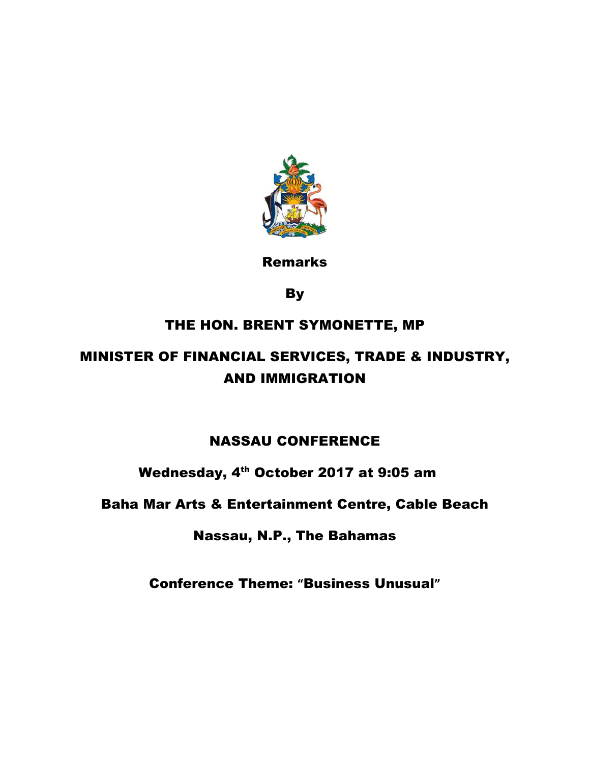

Remarks

**By** 

## THE HON. BRENT SYMONETTE, MP

# MINISTER OF FINANCIAL SERVICES, TRADE & INDUSTRY, AND IMMIGRATION

## NASSAU CONFERENCE

## Wednesday, 4<sup>th</sup> October 2017 at 9:05 am

### Baha Mar Arts & Entertainment Centre, Cable Beach

### Nassau, N.P., The Bahamas

Conference Theme: **"**Business Unusual**"**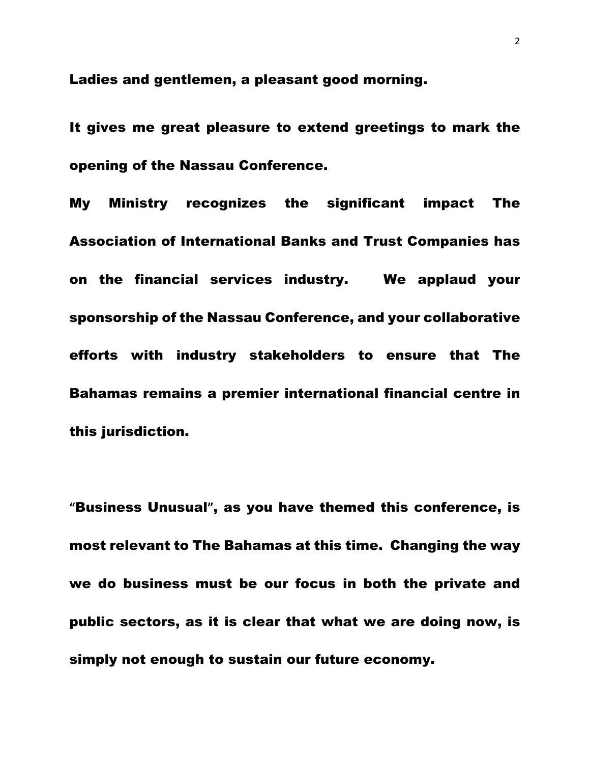Ladies and gentlemen, a pleasant good morning.

It gives me great pleasure to extend greetings to mark the opening of the Nassau Conference.

My Ministry recognizes the significant impact The Association of International Banks and Trust Companies has on the financial services industry. We applaud your sponsorship of the Nassau Conference, and your collaborative efforts with industry stakeholders to ensure that The Bahamas remains a premier international financial centre in this jurisdiction.

**"**Business Unusual**"**, as you have themed this conference, is most relevant to The Bahamas at this time. Changing the way we do business must be our focus in both the private and public sectors, as it is clear that what we are doing now, is simply not enough to sustain our future economy.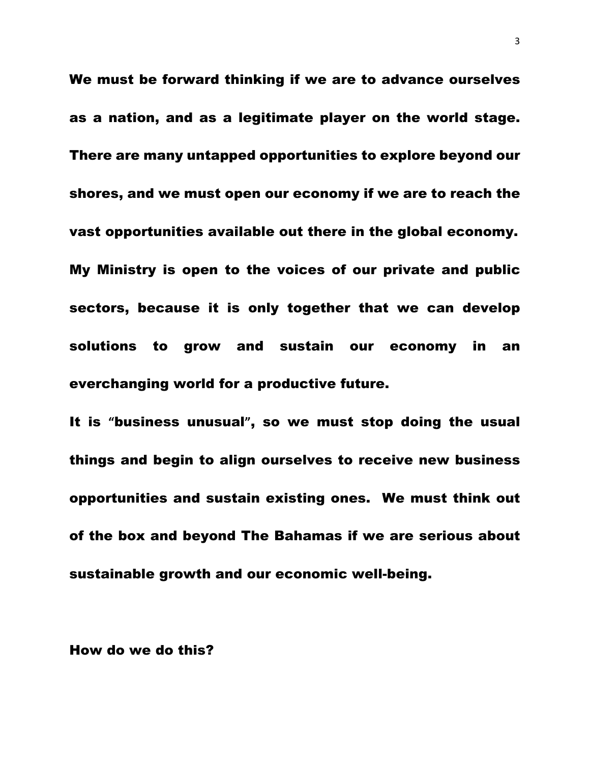We must be forward thinking if we are to advance ourselves as a nation, and as a legitimate player on the world stage. There are many untapped opportunities to explore beyond our shores, and we must open our economy if we are to reach the vast opportunities available out there in the global economy. My Ministry is open to the voices of our private and public sectors, because it is only together that we can develop solutions to grow and sustain our economy in an everchanging world for a productive future.

It is **"**business unusual**"**, so we must stop doing the usual things and begin to align ourselves to receive new business opportunities and sustain existing ones. We must think out of the box and beyond The Bahamas if we are serious about sustainable growth and our economic well-being.

#### How do we do this?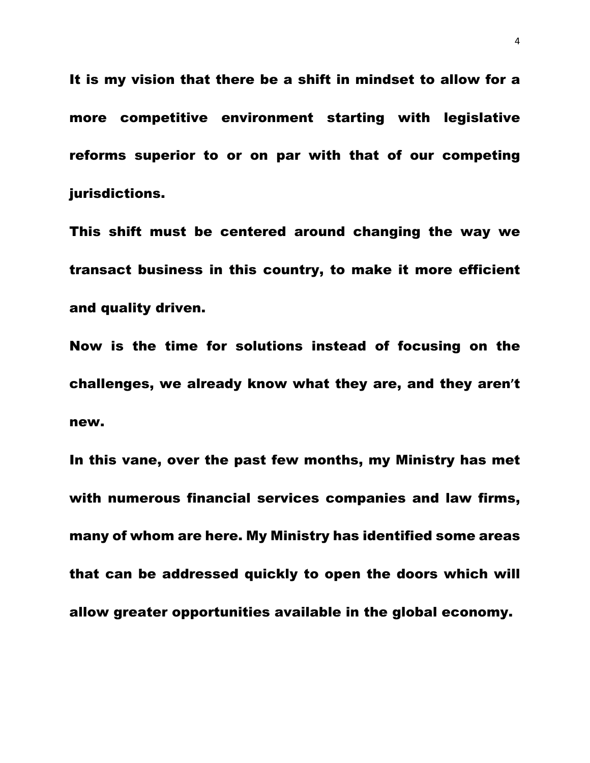It is my vision that there be a shift in mindset to allow for a more competitive environment starting with legislative reforms superior to or on par with that of our competing jurisdictions.

This shift must be centered around changing the way we transact business in this country, to make it more efficient and quality driven.

Now is the time for solutions instead of focusing on the challenges, we already know what they are, and they aren**'**t new.

In this vane, over the past few months, my Ministry has met with numerous financial services companies and law firms, many of whom are here. My Ministry has identified some areas that can be addressed quickly to open the doors which will allow greater opportunities available in the global economy.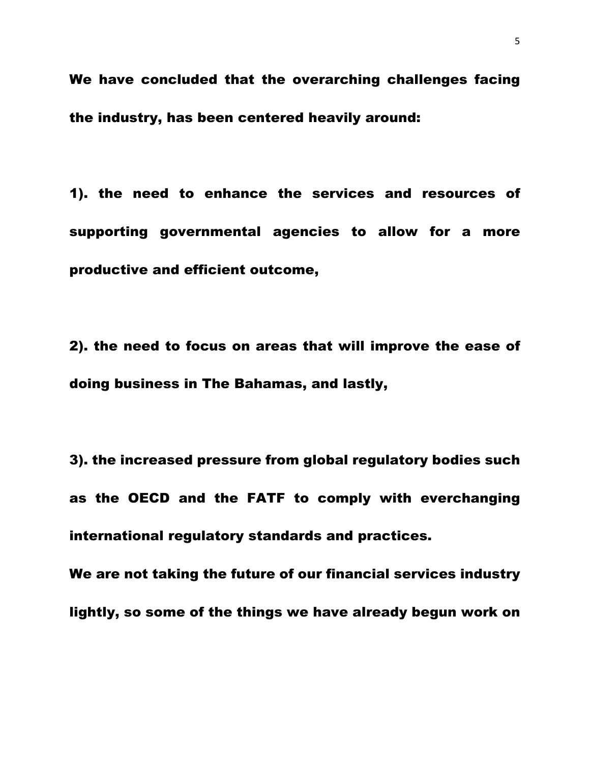We have concluded that the overarching challenges facing the industry, has been centered heavily around:

1). the need to enhance the services and resources of supporting governmental agencies to allow for a more productive and efficient outcome,

2). the need to focus on areas that will improve the ease of doing business in The Bahamas, and lastly,

3). the increased pressure from global regulatory bodies such as the OECD and the FATF to comply with everchanging international regulatory standards and practices.

We are not taking the future of our financial services industry lightly, so some of the things we have already begun work on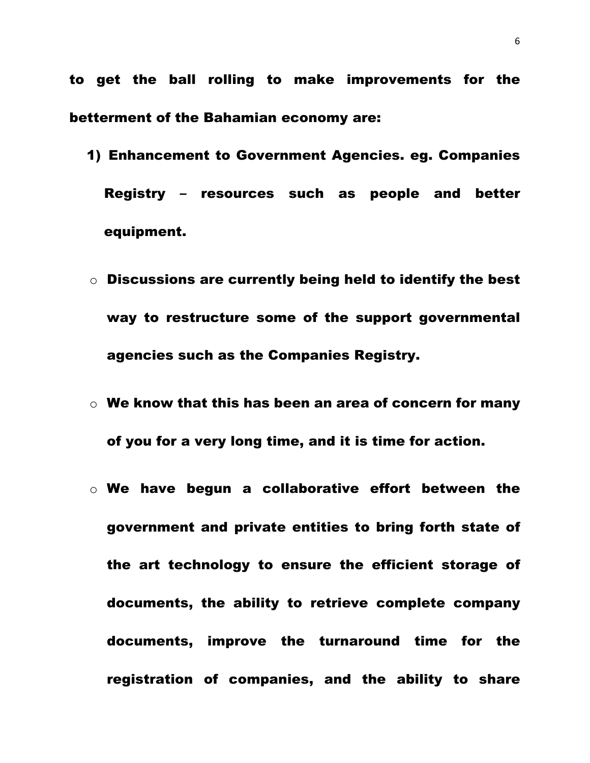to get the ball rolling to make improvements for the betterment of the Bahamian economy are:

- 1) Enhancement to Government Agencies. eg. Companies Registry **–** resources such as people and better equipment.
- o Discussions are currently being held to identify the best way to restructure some of the support governmental agencies such as the Companies Registry.
- $\circ$  We know that this has been an area of concern for many of you for a very long time, and it is time for action.
- $\circ$  We have begun a collaborative effort between the government and private entities to bring forth state of the art technology to ensure the efficient storage of documents, the ability to retrieve complete company documents, improve the turnaround time for the registration of companies, and the ability to share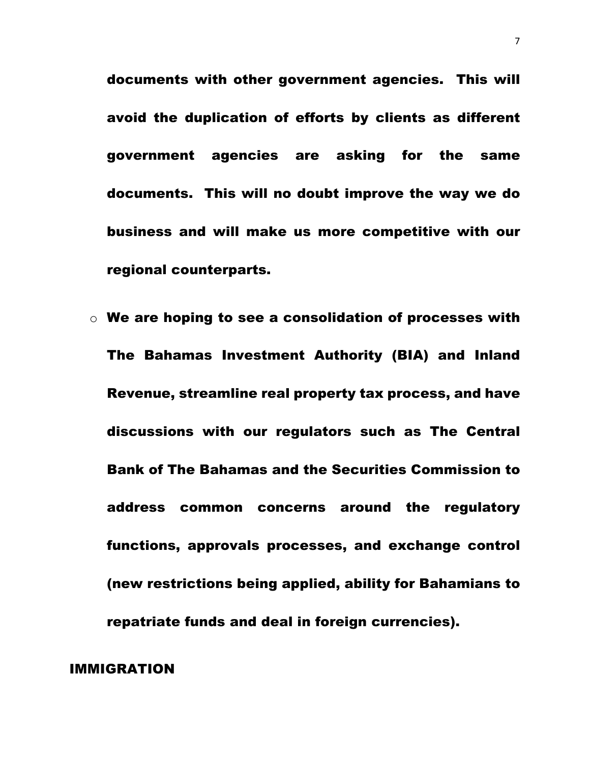documents with other government agencies. This will avoid the duplication of efforts by clients as different government agencies are asking for the same documents. This will no doubt improve the way we do business and will make us more competitive with our regional counterparts.

 $\circ$  We are hoping to see a consolidation of processes with The Bahamas Investment Authority (BIA) and Inland Revenue, streamline real property tax process, and have discussions with our regulators such as The Central Bank of The Bahamas and the Securities Commission to address common concerns around the regulatory functions, approvals processes, and exchange control (new restrictions being applied, ability for Bahamians to repatriate funds and deal in foreign currencies).

#### IMMIGRATION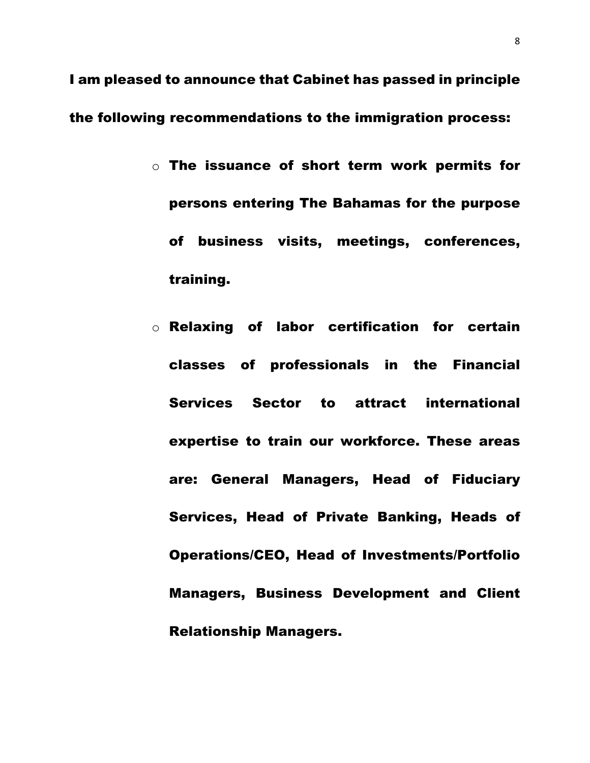I am pleased to announce that Cabinet has passed in principle the following recommendations to the immigration process:

- o The issuance of short term work permits for persons entering The Bahamas for the purpose of business visits, meetings, conferences, training.
- o Relaxing of labor certification for certain classes of professionals in the Financial Services Sector to attract international expertise to train our workforce. These areas are: General Managers, Head of Fiduciary Services, Head of Private Banking, Heads of Operations/CEO, Head of Investments/Portfolio Managers, Business Development and Client Relationship Managers.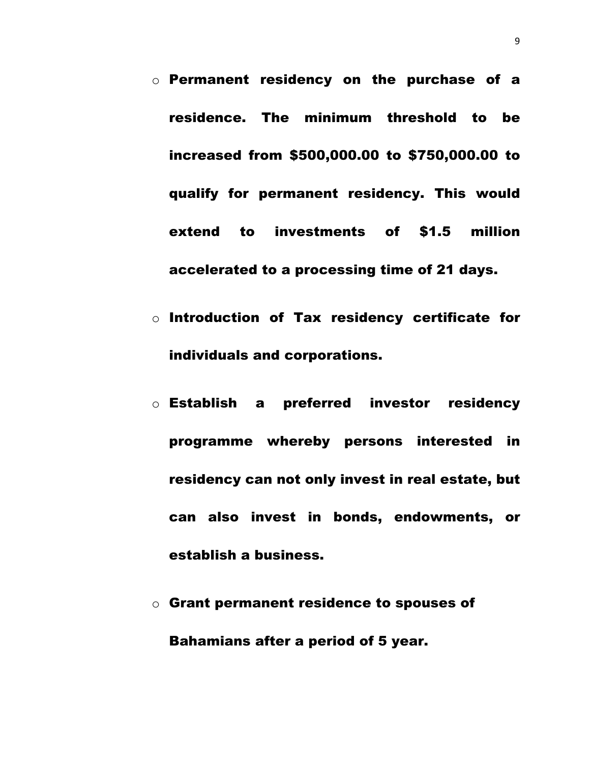- o Permanent residency on the purchase of a residence. The minimum threshold to be increased from \$500,000.00 to \$750,000.00 to qualify for permanent residency. This would extend to investments of \$1.5 million accelerated to a processing time of 21 days.
- o Introduction of Tax residency certificate for individuals and corporations.
- o Establish a preferred investor residency programme whereby persons interested in residency can not only invest in real estate, but can also invest in bonds, endowments, or establish a business.
- o Grant permanent residence to spouses of Bahamians after a period of 5 year.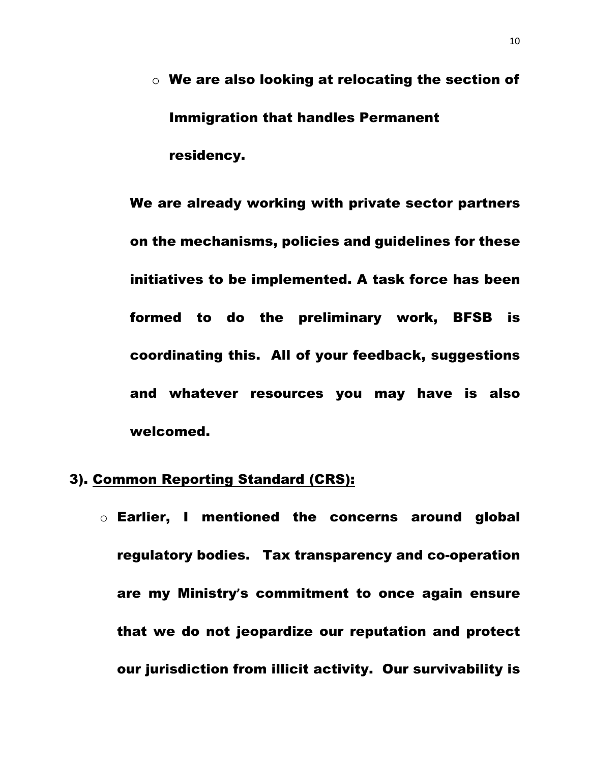$\circ$  We are also looking at relocating the section of Immigration that handles Permanent residency.

We are already working with private sector partners on the mechanisms, policies and guidelines for these initiatives to be implemented. A task force has been formed to do the preliminary work, BFSB is coordinating this. All of your feedback, suggestions and whatever resources you may have is also welcomed.

#### 3). Common Reporting Standard (CRS):

o Earlier, I mentioned the concerns around global regulatory bodies. Tax transparency and co-operation are my Ministry**'**s commitment to once again ensure that we do not jeopardize our reputation and protect our jurisdiction from illicit activity. Our survivability is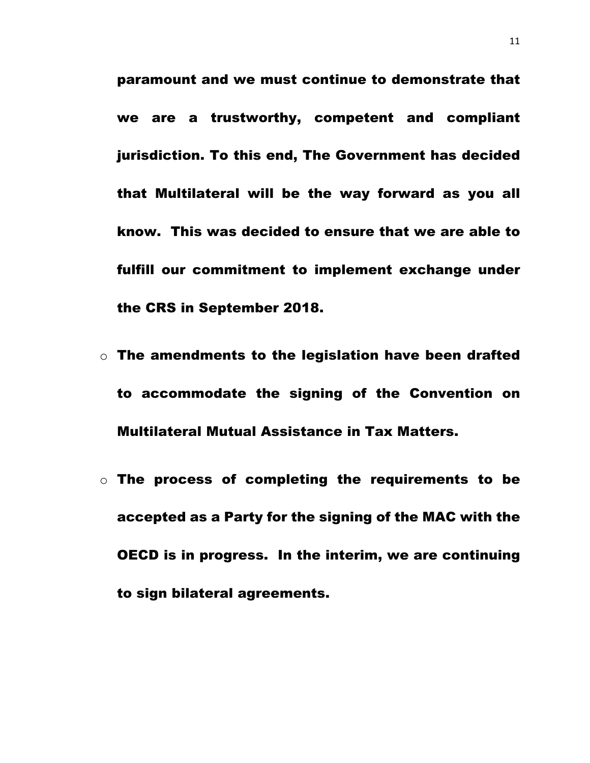paramount and we must continue to demonstrate that we are a trustworthy, competent and compliant jurisdiction. To this end, The Government has decided that Multilateral will be the way forward as you all know. This was decided to ensure that we are able to fulfill our commitment to implement exchange under the CRS in September 2018.

- $\circ$  The amendments to the legislation have been drafted to accommodate the signing of the Convention on Multilateral Mutual Assistance in Tax Matters.
- o The process of completing the requirements to be accepted as a Party for the signing of the MAC with the OECD is in progress. In the interim, we are continuing to sign bilateral agreements.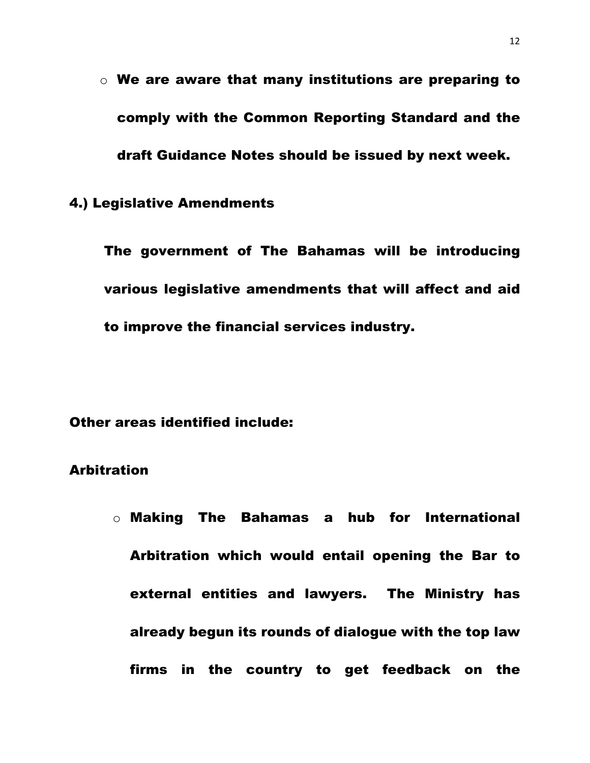$\circ$  We are aware that many institutions are preparing to comply with the Common Reporting Standard and the draft Guidance Notes should be issued by next week.

#### 4.) Legislative Amendments

The government of The Bahamas will be introducing various legislative amendments that will affect and aid to improve the financial services industry.

Other areas identified include:

#### Arbitration

o Making The Bahamas a hub for International Arbitration which would entail opening the Bar to external entities and lawyers. The Ministry has already begun its rounds of dialogue with the top law firms in the country to get feedback on the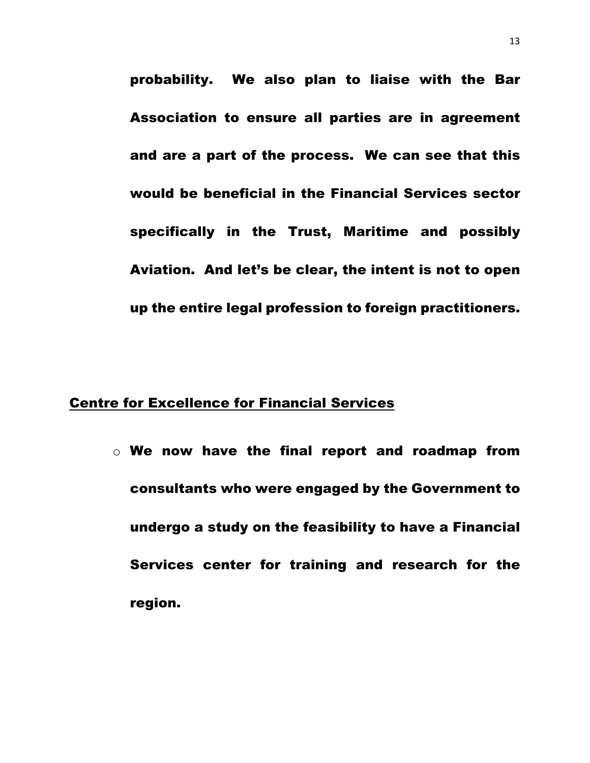probability. We also plan to liaise with the Bar Association to ensure all parties are in agreement and are a part of the process. We can see that this would be beneficial in the Financial Services sector specifically in the Trust, Maritime and possibly Aviation. And let's be clear, the intent is not to open up the entire legal profession to foreign practitioners.

#### Centre for Excellence for Financial Services

 $\circ$  We now have the final report and roadmap from consultants who were engaged by the Government to undergo a study on the feasibility to have a Financial Services center for training and research for the region.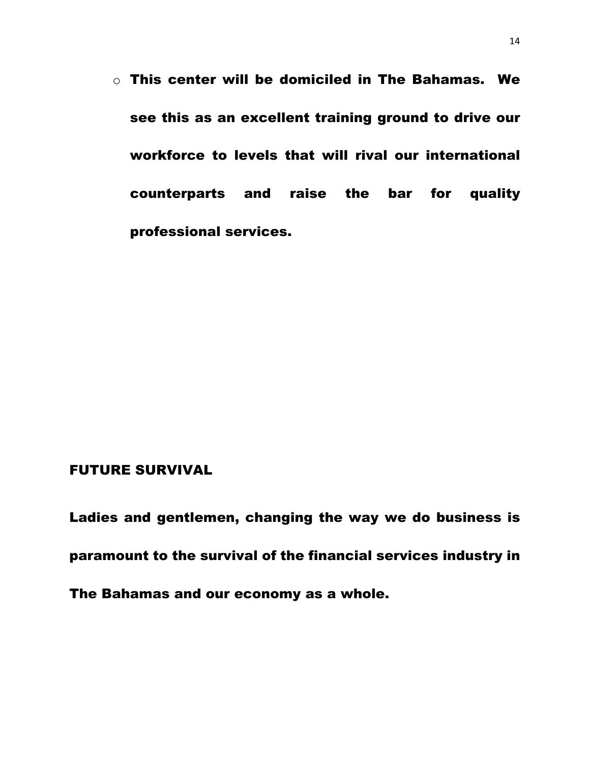$\circ$  This center will be domiciled in The Bahamas. We see this as an excellent training ground to drive our workforce to levels that will rival our international counterparts and raise the bar for quality professional services.

### FUTURE SURVIVAL

Ladies and gentlemen, changing the way we do business is paramount to the survival of the financial services industry in The Bahamas and our economy as a whole.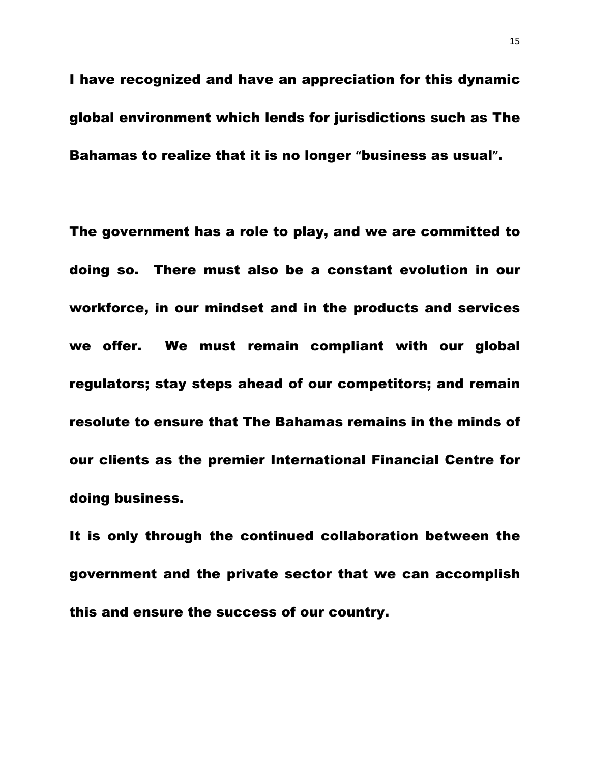I have recognized and have an appreciation for this dynamic global environment which lends for jurisdictions such as The Bahamas to realize that it is no longer **"**business as usual**"**.

The government has a role to play, and we are committed to doing so. There must also be a constant evolution in our workforce, in our mindset and in the products and services we offer. We must remain compliant with our global regulators; stay steps ahead of our competitors; and remain resolute to ensure that The Bahamas remains in the minds of our clients as the premier International Financial Centre for doing business.

It is only through the continued collaboration between the government and the private sector that we can accomplish this and ensure the success of our country.